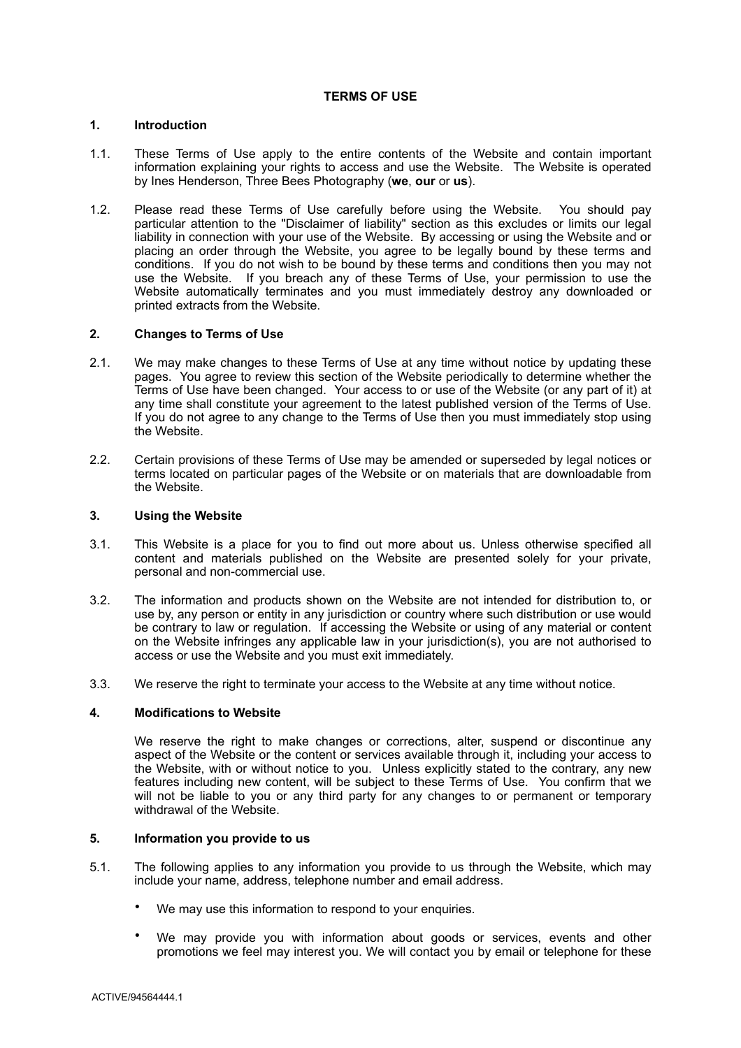### **1. Introduction**

- 1.1. These Terms of Use apply to the entire contents of the Website and contain important information explaining your rights to access and use the Website. The Website is operated by Ines Henderson, Three Bees Photography (**we**, **our** or **us**).
- 1.2. Please read these Terms of Use carefully before using the Website. You should pay particular attention to the "Disclaimer of liability" section as this excludes or limits our legal liability in connection with your use of the Website. By accessing or using the Website and or placing an order through the Website, you agree to be legally bound by these terms and conditions. If you do not wish to be bound by these terms and conditions then you may not use the Website. If you breach any of these Terms of Use, your permission to use the Website automatically terminates and you must immediately destroy any downloaded or printed extracts from the Website.

### **2. Changes to Terms of Use**

- 2.1. We may make changes to these Terms of Use at any time without notice by updating these pages. You agree to review this section of the Website periodically to determine whether the Terms of Use have been changed. Your access to or use of the Website (or any part of it) at any time shall constitute your agreement to the latest published version of the Terms of Use. If you do not agree to any change to the Terms of Use then you must immediately stop using the Website.
- 2.2. Certain provisions of these Terms of Use may be amended or superseded by legal notices or terms located on particular pages of the Website or on materials that are downloadable from the Website.

# **3. Using the Website**

- 3.1. This Website is a place for you to find out more about us. Unless otherwise specified all content and materials published on the Website are presented solely for your private, personal and non-commercial use.
- 3.2. The information and products shown on the Website are not intended for distribution to, or use by, any person or entity in any jurisdiction or country where such distribution or use would be contrary to law or regulation. If accessing the Website or using of any material or content on the Website infringes any applicable law in your jurisdiction(s), you are not authorised to access or use the Website and you must exit immediately.
- 3.3. We reserve the right to terminate your access to the Website at any time without notice.

### **4. Modifications to Website**

We reserve the right to make changes or corrections, alter, suspend or discontinue any aspect of the Website or the content or services available through it, including your access to the Website, with or without notice to you. Unless explicitly stated to the contrary, any new features including new content, will be subject to these Terms of Use. You confirm that we will not be liable to you or any third party for any changes to or permanent or temporary withdrawal of the Website.

# **5. Information you provide to us**

- 5.1. The following applies to any information you provide to us through the Website, which may include your name, address, telephone number and email address.
	- We may use this information to respond to your enquiries.
	- We may provide you with information about goods or services, events and other promotions we feel may interest you. We will contact you by email or telephone for these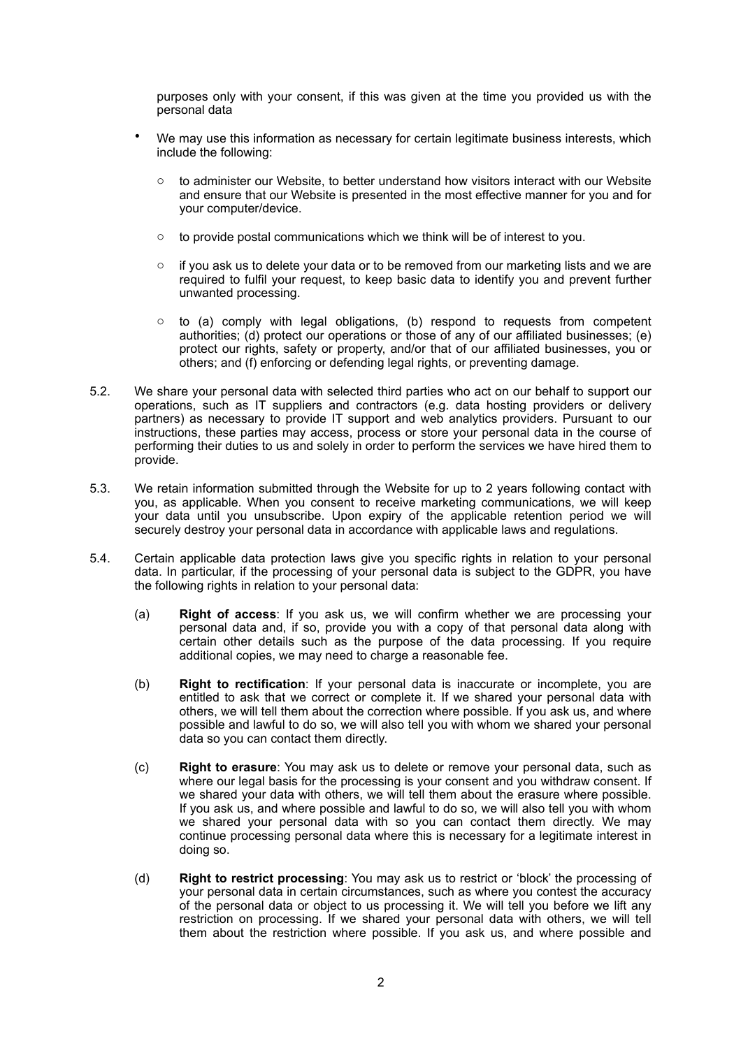purposes only with your consent, if this was given at the time you provided us with the personal data

- We may use this information as necessary for certain legitimate business interests, which include the following:
	- o to administer our Website, to better understand how visitors interact with our Website and ensure that our Website is presented in the most effective manner for you and for your computer/device.
	- o to provide postal communications which we think will be of interest to you.
	- $\circ$  if you ask us to delete your data or to be removed from our marketing lists and we are required to fulfil your request, to keep basic data to identify you and prevent further unwanted processing.
	- $\circ$  to (a) comply with legal obligations, (b) respond to requests from competent authorities; (d) protect our operations or those of any of our affiliated businesses; (e) protect our rights, safety or property, and/or that of our affiliated businesses, you or others; and (f) enforcing or defending legal rights, or preventing damage.
- 5.2. We share your personal data with selected third parties who act on our behalf to support our operations, such as IT suppliers and contractors (e.g. data hosting providers or delivery partners) as necessary to provide IT support and web analytics providers. Pursuant to our instructions, these parties may access, process or store your personal data in the course of performing their duties to us and solely in order to perform the services we have hired them to provide.
- 5.3. We retain information submitted through the Website for up to 2 years following contact with you, as applicable. When you consent to receive marketing communications, we will keep your data until you unsubscribe. Upon expiry of the applicable retention period we will securely destroy your personal data in accordance with applicable laws and regulations.
- 5.4. Certain applicable data protection laws give you specific rights in relation to your personal data. In particular, if the processing of your personal data is subject to the GDPR, you have the following rights in relation to your personal data:
	- (a) **Right of access**: If you ask us, we will confirm whether we are processing your personal data and, if so, provide you with a copy of that personal data along with certain other details such as the purpose of the data processing. If you require additional copies, we may need to charge a reasonable fee.
	- (b) **Right to rectification**: If your personal data is inaccurate or incomplete, you are entitled to ask that we correct or complete it. If we shared your personal data with others, we will tell them about the correction where possible. If you ask us, and where possible and lawful to do so, we will also tell you with whom we shared your personal data so you can contact them directly.
	- (c) **Right to erasure**: You may ask us to delete or remove your personal data, such as where our legal basis for the processing is your consent and you withdraw consent. If we shared your data with others, we will tell them about the erasure where possible. If you ask us, and where possible and lawful to do so, we will also tell you with whom we shared your personal data with so you can contact them directly. We may continue processing personal data where this is necessary for a legitimate interest in doing so.
	- (d) **Right to restrict processing**: You may ask us to restrict or 'block' the processing of your personal data in certain circumstances, such as where you contest the accuracy of the personal data or object to us processing it. We will tell you before we lift any restriction on processing. If we shared your personal data with others, we will tell them about the restriction where possible. If you ask us, and where possible and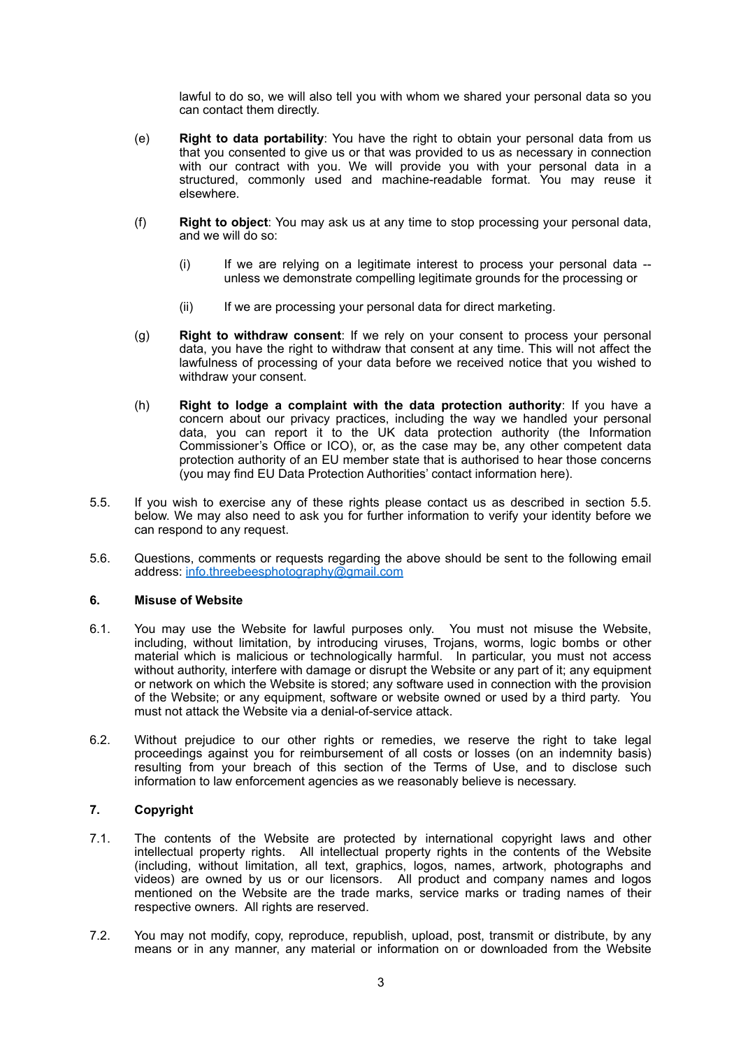lawful to do so, we will also tell you with whom we shared your personal data so you can contact them directly.

- (e) **Right to data portability**: You have the right to obtain your personal data from us that you consented to give us or that was provided to us as necessary in connection with our contract with you. We will provide you with your personal data in a structured, commonly used and machine-readable format. You may reuse it elsewhere.
- (f) **Right to object**: You may ask us at any time to stop processing your personal data, and we will do so:
	- (i) If we are relying on a legitimate interest to process your personal data unless we demonstrate compelling legitimate grounds for the processing or
	- (ii) If we are processing your personal data for direct marketing.
- (g) **Right to withdraw consent**: If we rely on your consent to process your personal data, you have the right to withdraw that consent at any time. This will not affect the lawfulness of processing of your data before we received notice that you wished to withdraw your consent.
- (h) **Right to lodge a complaint with the data protection authority**: If you have a concern about our privacy practices, including the way we handled your personal data, you can report it to the UK data protection authority (the Information Commissioner's Office or ICO), or, as the case may be, any other competent data protection authority of an EU member state that is authorised to hear those concerns (you may find EU Data Protection Authorities' contact information here).
- 5.5. If you wish to exercise any of these rights please contact us as described in section 5.5. below. We may also need to ask you for further information to verify your identity before we can respond to any request.
- 5.6. Questions, comments or requests regarding the above should be sent to the following email address: [info.threebeesphotography@gmail.com](mailto:info.threebeesphotography@gmail.com)

### **6. Misuse of Website**

- 6.1. You may use the Website for lawful purposes only. You must not misuse the Website, including, without limitation, by introducing viruses, Trojans, worms, logic bombs or other material which is malicious or technologically harmful. In particular, you must not access without authority, interfere with damage or disrupt the Website or any part of it; any equipment or network on which the Website is stored; any software used in connection with the provision of the Website; or any equipment, software or website owned or used by a third party. You must not attack the Website via a denial-of-service attack.
- 6.2. Without prejudice to our other rights or remedies, we reserve the right to take legal proceedings against you for reimbursement of all costs or losses (on an indemnity basis) resulting from your breach of this section of the Terms of Use, and to disclose such information to law enforcement agencies as we reasonably believe is necessary.

## **7. Copyright**

- 7.1. The contents of the Website are protected by international copyright laws and other intellectual property rights. All intellectual property rights in the contents of the Website (including, without limitation, all text, graphics, logos, names, artwork, photographs and videos) are owned by us or our licensors. All product and company names and logos mentioned on the Website are the trade marks, service marks or trading names of their respective owners. All rights are reserved.
- 7.2. You may not modify, copy, reproduce, republish, upload, post, transmit or distribute, by any means or in any manner, any material or information on or downloaded from the Website